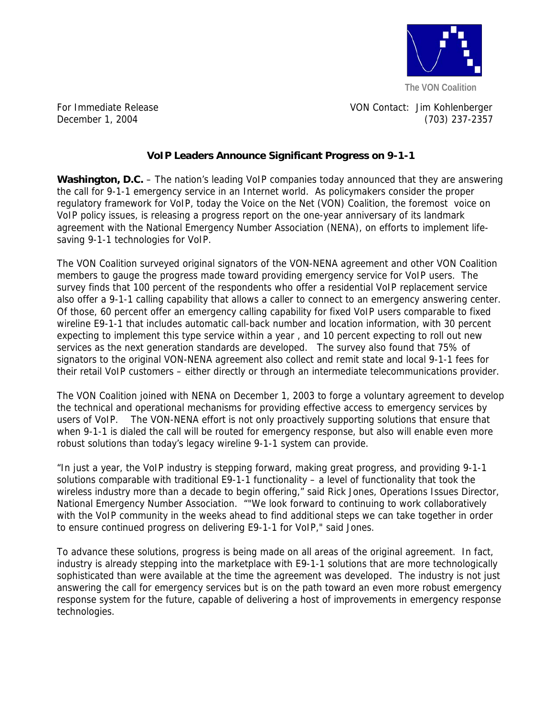

For Immediate Release VON Contact: Jim Kohlenberger December 1, 2004 (703) 237-2357

## **VoIP Leaders Announce Significant Progress on 9-1-1**

**Washington, D.C.** – The nation's leading VoIP companies today announced that they are answering the call for 9-1-1 emergency service in an Internet world. As policymakers consider the proper regulatory framework for VoIP, today the Voice on the Net (VON) Coalition, the foremost voice on VoIP policy issues, is releasing a progress report on the one-year anniversary of its landmark agreement with the National Emergency Number Association (NENA), on efforts to implement lifesaving 9-1-1 technologies for VoIP.

The VON Coalition surveyed original signators of the VON-NENA agreement and other VON Coalition members to gauge the progress made toward providing emergency service for VoIP users. The survey finds that 100 percent of the respondents who offer a residential VoIP replacement service also offer a 9-1-1 calling capability that allows a caller to connect to an emergency answering center. Of those, 60 percent offer an emergency calling capability for fixed VoIP users comparable to fixed wireline E9-1-1 that includes automatic call-back number and location information, with 30 percent expecting to implement this type service within a year , and 10 percent expecting to roll out new services as the next generation standards are developed. The survey also found that 75% of signators to the original VON-NENA agreement also collect and remit state and local 9-1-1 fees for their retail VoIP customers – either directly or through an intermediate telecommunications provider.

The VON Coalition joined with NENA on December 1, 2003 to forge a voluntary agreement to develop the technical and operational mechanisms for providing effective access to emergency services by users of VoIP. The VON-NENA effort is not only proactively supporting solutions that ensure that when 9-1-1 is dialed the call will be routed for emergency response, but also will enable even more robust solutions than today's legacy wireline 9-1-1 system can provide.

"In just a year, the VoIP industry is stepping forward, making great progress, and providing 9-1-1 solutions comparable with traditional E9-1-1 functionality – a level of functionality that took the wireless industry more than a decade to begin offering," said Rick Jones, Operations Issues Director, National Emergency Number Association. ""We look forward to continuing to work collaboratively with the VoIP community in the weeks ahead to find additional steps we can take together in order to ensure continued progress on delivering E9-1-1 for VoIP," said Jones.

To advance these solutions, progress is being made on all areas of the original agreement. In fact, industry is already stepping into the marketplace with E9-1-1 solutions that are more technologically sophisticated than were available at the time the agreement was developed. The industry is not just answering the call for emergency services but is on the path toward an even more robust emergency response system for the future, capable of delivering a host of improvements in emergency response technologies.